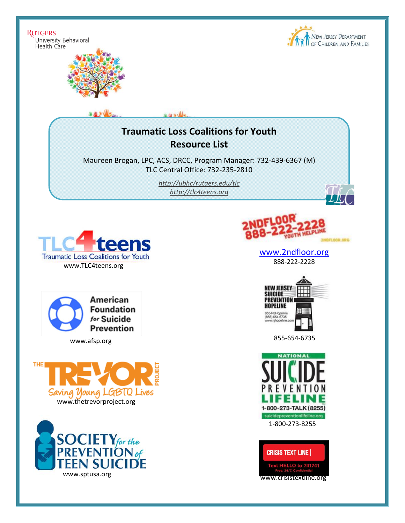**RUTGERS** University Behavioral Health Care





## **Traumatic Loss Coalitions for Youth Resource List**

اللحقية

Maureen Brogan, LPC, ACS, DRCC, Program Manager: 732-439-6367 (M) TLC Central Office: 732-235-2810

> *<http://ubhc/rutgers.edu/tlc> [http://tlc4teens.org](http://tlc4teens.org/)*



American **Foundation** for Suicide **Prevention** 







[www.2ndfloor.org](http://www.2ndfloor.org/) 888-222-2228



855-654-6735 www.afsp.org





www.crisistextline.org